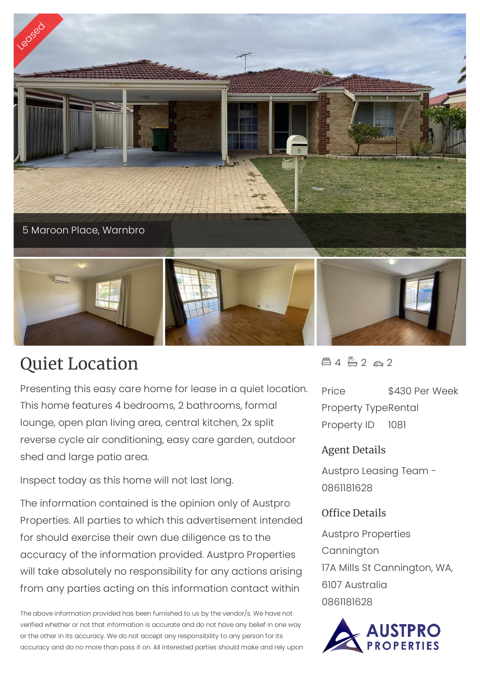

## Quiet Location

Presenting this easy care home for lease in a quiet location. This home features 4 bedrooms, 2 bathrooms, formal lounge, open plan living area, central kitchen, 2x split reverse cycle air conditioning, easy care garden, outdoor shed and large patio area.

Inspect today as this home will not last long.

The information contained is the opinion only of Austpro Properties. All parties to which this advertisement intended for should exercise their own due diligence as to the accuracy of the information provided. Austpro Properties will take absolutely no responsibility for any actions arising from any parties acting on this information contact within

The above information provided has been furnished to us by the vendor/s. We have not verified whether or not that information is accurate and do not have any belief in one way or the other in its accuracy. We do not accept any responsibility to any person for its accuracy and do no more than pass it on. All interested parties should make and rely upon  $44720$ 

Price \$430 Per Week Property TypeRental Property ID 1081

## Agent Details

Austpro Leasing Team - 0861181628

## Office Details

Austpro Properties Cannington 17A Mills St Cannington, WA, 6107 Australia 0861181628